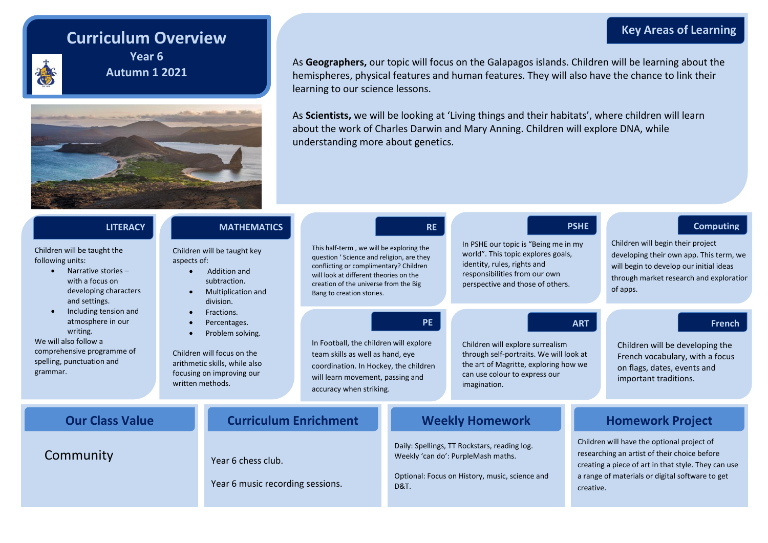### **Key Areas of Learning**

# **Curriculum Overview**



**Year 6 Autumn 1 2021**



As **Geographers,** our topic will focus on the Galapagos islands. Children will be learning about the hemispheres, physical features and human features. They will also have the chance to link their learning to our science lessons.

As **Scientists,** we will be looking at 'Living things and their habitats', where children will learn about the work of Charles Darwin and Mary Anning. Children will explore DNA, while understanding more about genetics.

| <b>LITERACY</b><br>Children will be taught the<br>following units:<br>aspects of:<br>Narrative stories $-$<br>$\bullet$<br>with a focus on<br>developing characters<br>$\bullet$<br>and settings. |                                                         | <b>MATHEMATICS</b><br>Children will be taught key<br>Addition and<br>subtraction.<br><b>Multiplication and</b><br>division.                | <b>RE</b><br>This half-term, we will be exploring the<br>question ' Science and religion, are they<br>conflicting or complimentary? Children<br>will look at different theories on the<br>creation of the universe from the Big<br>Bang to creation stories. |                                                                                                                                                         | <b>PSHE</b><br>In PSHE our topic is "Being me in my<br>world". This topic explores goals,<br>identity, rules, rights and<br>responsibilities from our own<br>perspective and those of others. |                                                                                                                                                                                                                   | <b>Computing</b><br>Children will begin their project<br>developing their own app. This term, we<br>will begin to develop our initial ideas<br>through market research and exploration<br>of apps. |
|---------------------------------------------------------------------------------------------------------------------------------------------------------------------------------------------------|---------------------------------------------------------|--------------------------------------------------------------------------------------------------------------------------------------------|--------------------------------------------------------------------------------------------------------------------------------------------------------------------------------------------------------------------------------------------------------------|---------------------------------------------------------------------------------------------------------------------------------------------------------|-----------------------------------------------------------------------------------------------------------------------------------------------------------------------------------------------|-------------------------------------------------------------------------------------------------------------------------------------------------------------------------------------------------------------------|----------------------------------------------------------------------------------------------------------------------------------------------------------------------------------------------------|
| Including tension and<br>$\bullet$<br>atmosphere in our<br>writing.<br>We will also follow a<br>comprehensive programme of<br>spelling, punctuation and<br>grammar.                               | $\bullet$<br>$\bullet$<br>$\bullet$<br>written methods. | Fractions.<br>Percentages.<br>Problem solving.<br>Children will focus on the<br>arithmetic skills, while also<br>focusing on improving our | <b>PE</b><br>In Football, the children will explore<br>team skills as well as hand, eye<br>coordination. In Hockey, the children<br>will learn movement, passing and<br>accuracy when striking.                                                              |                                                                                                                                                         | <b>ART</b><br>Children will explore surrealism<br>through self-portraits. We will look at<br>the art of Magritte, exploring how we<br>can use colour to express our<br>imagination.           |                                                                                                                                                                                                                   | <b>French</b><br>Children will be developing the<br>French vocabulary, with a focus<br>on flags, dates, events and<br>important traditions.                                                        |
| <b>Curriculum Enrichment</b><br><b>Our Class Value</b>                                                                                                                                            |                                                         |                                                                                                                                            |                                                                                                                                                                                                                                                              | <b>Weekly Homework</b>                                                                                                                                  |                                                                                                                                                                                               | <b>Homework Project</b>                                                                                                                                                                                           |                                                                                                                                                                                                    |
| Community                                                                                                                                                                                         |                                                         | Year 6 chess club.<br>Year 6 music recording sessions.                                                                                     |                                                                                                                                                                                                                                                              | Daily: Spellings, TT Rockstars, reading log.<br>Weekly 'can do': PurpleMash maths.<br>Optional: Focus on History, music, science and<br><b>D&amp;T.</b> |                                                                                                                                                                                               | Children will have the optional project of<br>researching an artist of their choice before<br>creating a piece of art in that style. They can use<br>a range of materials or digital software to get<br>creative. |                                                                                                                                                                                                    |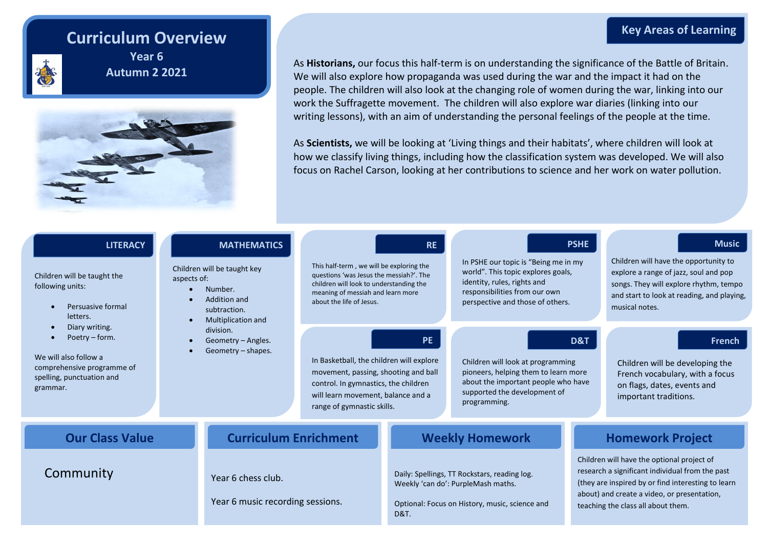### **Curriculum Overview**



**Year 6 Autumn 2 2021**



As **Historians,** our focus this half-term is on understanding the significance of the Battle of Britain. We will also explore how propaganda was used during the war and the impact it had on the people. The children will also look at the changing role of women during the war, linking into our work the Suffragette movement. The children will also explore war diaries (linking into our writing lessons), with an aim of understanding the personal feelings of the people at the time.

As **Scientists,** we will be looking at 'Living things and their habitats', where children will look at how we classify living things, including how the classification system was developed. We will also focus on Rachel Carson, looking at her contributions to science and her work on water pollution.

| <b>LITERACY</b><br>Children will be taught the<br>following units:<br>Persuasive formal<br>letters.<br>Diary writing.<br>Poetry – form.<br>We will also follow a<br>comprehensive programme of<br>spelling, punctuation and<br>grammar. | <b>MATHEMATICS</b><br>Children will be taught key<br>aspects of:<br>Number.<br>Addition and<br>subtraction.<br>Multiplication and | This half-term, we will be exploring the<br>questions 'was Jesus the messiah?'. The<br>children will look to understanding the<br>meaning of messiah and learn more<br>about the life of Jesus. | <b>RE</b>                                                                                                                                               | <b>PSHE</b><br>In PSHE our topic is "Being me in my<br>world". This topic explores goals,<br>identity, rules, rights and<br>responsibilities from our own<br>perspective and those of others. |                                                                                                                                                                                                                                          | <b>Music</b><br>Children will have the opportunity to<br>explore a range of jazz, soul and pop<br>songs. They will explore rhythm, tempo<br>and start to look at reading, and playing,<br>musical notes. |
|-----------------------------------------------------------------------------------------------------------------------------------------------------------------------------------------------------------------------------------------|-----------------------------------------------------------------------------------------------------------------------------------|-------------------------------------------------------------------------------------------------------------------------------------------------------------------------------------------------|---------------------------------------------------------------------------------------------------------------------------------------------------------|-----------------------------------------------------------------------------------------------------------------------------------------------------------------------------------------------|------------------------------------------------------------------------------------------------------------------------------------------------------------------------------------------------------------------------------------------|----------------------------------------------------------------------------------------------------------------------------------------------------------------------------------------------------------|
|                                                                                                                                                                                                                                         | division.<br>Geometry - Angles.<br>Geometry - shapes.                                                                             | In Basketball, the children will explore<br>movement, passing, shooting and ball<br>control. In gymnastics, the children<br>will learn movement, balance and a<br>range of gymnastic skills.    | <b>PE</b>                                                                                                                                               | D&T<br>Children will look at programming<br>pioneers, helping them to learn more<br>about the important people who have<br>supported the development of<br>programming.                       |                                                                                                                                                                                                                                          | French<br>Children will be developing the<br>French vocabulary, with a focus<br>on flags, dates, events and<br>important traditions.                                                                     |
| <b>Our Class Value</b>                                                                                                                                                                                                                  |                                                                                                                                   | <b>Curriculum Enrichment</b>                                                                                                                                                                    | <b>Weekly Homework</b>                                                                                                                                  |                                                                                                                                                                                               | <b>Homework Project</b>                                                                                                                                                                                                                  |                                                                                                                                                                                                          |
| Community<br>Year 6 chess club.<br>Year 6 music recording sessions.                                                                                                                                                                     |                                                                                                                                   |                                                                                                                                                                                                 | Daily: Spellings, TT Rockstars, reading log.<br>Weekly 'can do': PurpleMash maths.<br>Optional: Focus on History, music, science and<br><b>D&amp;T.</b> |                                                                                                                                                                                               | Children will have the optional project of<br>research a significant individual from the past<br>(they are inspired by or find interesting to learn<br>about) and create a video, or presentation,<br>teaching the class all about them. |                                                                                                                                                                                                          |

#### **Key Areas of Learning**